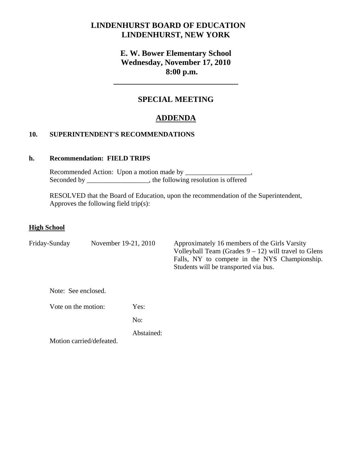# **LINDENHURST BOARD OF EDUCATION LINDENHURST, NEW YORK**

# **E. W. Bower Elementary School Wednesday, November 17, 2010 8:00 p.m.**

## **SPECIAL MEETING**

**\_\_\_\_\_\_\_\_\_\_\_\_\_\_\_\_\_\_\_\_\_\_\_\_\_\_\_\_\_\_\_** 

# **ADDENDA**

### **10. SUPERINTENDENT'S RECOMMENDATIONS**

### **h. Recommendation: FIELD TRIPS**

Recommended Action: Upon a motion made by \_\_\_\_\_\_\_\_\_\_\_\_\_\_ Seconded by \_\_\_\_\_\_\_\_\_\_\_\_\_\_\_\_\_, the following resolution is offered

 RESOLVED that the Board of Education, upon the recommendation of the Superintendent, Approves the following field trip(s):

#### **High School**

| Friday-Sunday<br>November 19-21, 2010 |                          |            | Approximately 16 members of the Girls Varsity<br>Volleyball Team (Grades $9 - 12$ ) will travel to Glens<br>Falls, NY to compete in the NYS Championship.<br>Students will be transported via bus. |
|---------------------------------------|--------------------------|------------|----------------------------------------------------------------------------------------------------------------------------------------------------------------------------------------------------|
| Note: See enclosed.                   |                          |            |                                                                                                                                                                                                    |
| Vote on the motion:                   |                          | Yes:       |                                                                                                                                                                                                    |
|                                       |                          | No:        |                                                                                                                                                                                                    |
|                                       | Motion carried/defeated. | Abstained: |                                                                                                                                                                                                    |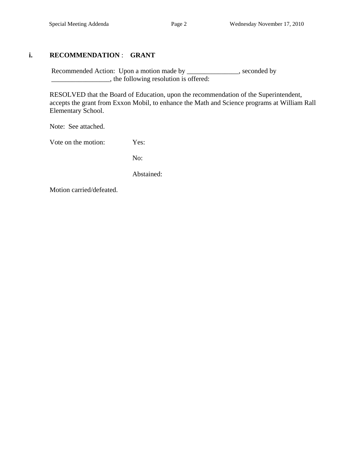## **i. RECOMMENDATION** : **GRANT**

Recommended Action: Upon a motion made by \_\_\_\_\_\_\_\_\_\_\_\_\_, seconded by \_\_\_\_\_\_\_\_\_\_\_\_\_\_\_\_\_, the following resolution is offered:

 RESOLVED that the Board of Education, upon the recommendation of the Superintendent, accepts the grant from Exxon Mobil, to enhance the Math and Science programs at William Rall Elementary School.

Note: See attached.

Vote on the motion: Yes:

No:

Abstained:

Motion carried/defeated.